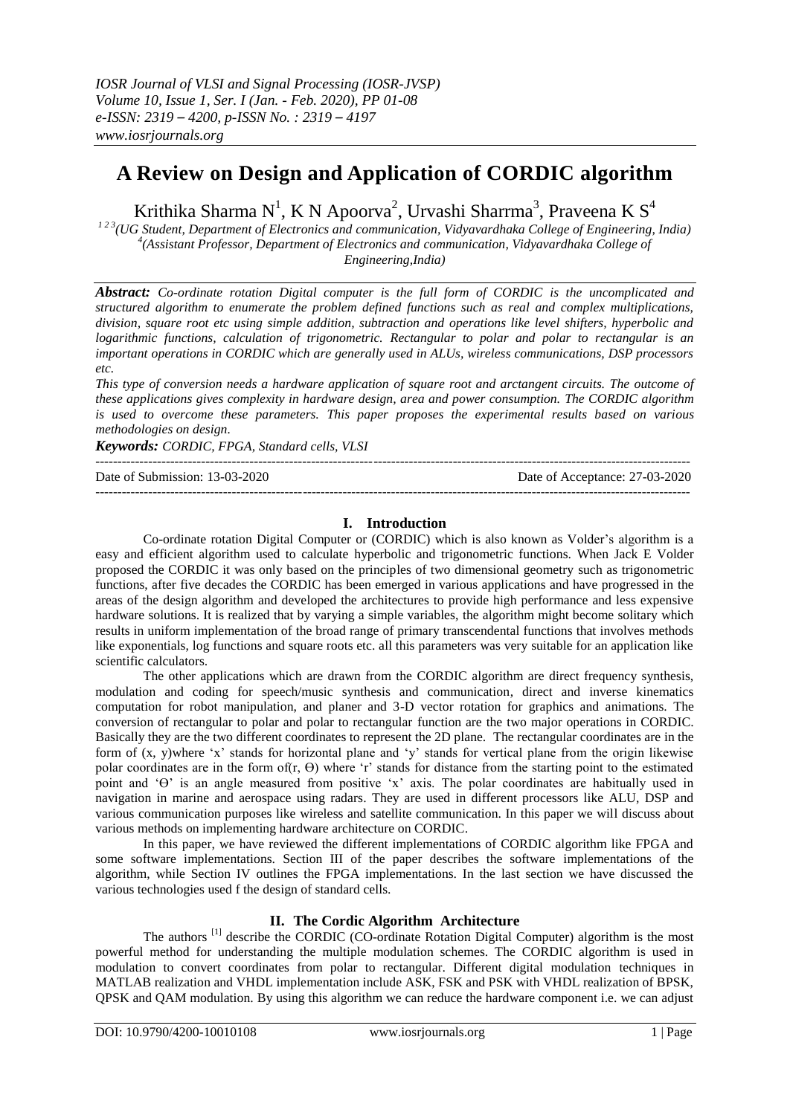# **A Review on Design and Application of CORDIC algorithm**

Krithika Sharma N<sup>1</sup>, K N Apoorva<sup>2</sup>, Urvashi Sharrma<sup>3</sup>, Praveena K S<sup>4</sup>

*1 2 3(UG Student, Department of Electronics and communication, Vidyavardhaka College of Engineering, India)*  <sup>4</sup>(Assistant Professor, Department of Electronics and communication, Vidyavardhaka College of *Engineering,India)*

*Abstract: Co-ordinate rotation Digital computer is the full form of CORDIC is the uncomplicated and structured algorithm to enumerate the problem defined functions such as real and complex multiplications, division, square root etc using simple addition, subtraction and operations like level shifters, hyperbolic and logarithmic functions, calculation of trigonometric. Rectangular to polar and polar to rectangular is an important operations in CORDIC which are generally used in ALUs, wireless communications, DSP processors etc.*

*This type of conversion needs a hardware application of square root and arctangent circuits. The outcome of these applications gives complexity in hardware design, area and power consumption. The CORDIC algorithm is used to overcome these parameters. This paper proposes the experimental results based on various methodologies on design.*

*Keywords: CORDIC, FPGA, Standard cells, VLSI* 

---------------------------------------------------------------------------------------------------------------------------------------

Date of Submission: 13-03-2020 Date of Acceptance: 27-03-2020 ---------------------------------------------------------------------------------------------------------------------------------------

## **I. Introduction**

Co-ordinate rotation Digital Computer or (CORDIC) which is also known as Volder's algorithm is a easy and efficient algorithm used to calculate hyperbolic and trigonometric functions. When Jack E Volder proposed the CORDIC it was only based on the principles of two dimensional geometry such as trigonometric functions, after five decades the CORDIC has been emerged in various applications and have progressed in the areas of the design algorithm and developed the architectures to provide high performance and less expensive hardware solutions. It is realized that by varying a simple variables, the algorithm might become solitary which results in uniform implementation of the broad range of primary transcendental functions that involves methods like exponentials, log functions and square roots etc. all this parameters was very suitable for an application like scientific calculators.

The other applications which are drawn from the CORDIC algorithm are direct frequency synthesis, modulation and coding for speech/music synthesis and communication, direct and inverse kinematics computation for robot manipulation, and planer and 3-D vector rotation for graphics and animations. The conversion of rectangular to polar and polar to rectangular function are the two major operations in CORDIC. Basically they are the two different coordinates to represent the 2D plane. The rectangular coordinates are in the form of (x, y)where 'x' stands for horizontal plane and 'y' stands for vertical plane from the origin likewise polar coordinates are in the form of(r,  $\Theta$ ) where 'r' stands for distance from the starting point to the estimated point and 'Ө' is an angle measured from positive 'x' axis. The polar coordinates are habitually used in navigation in marine and aerospace using radars. They are used in different processors like ALU, DSP and various communication purposes like wireless and satellite communication. In this paper we will discuss about various methods on implementing hardware architecture on CORDIC.

In this paper, we have reviewed the different implementations of CORDIC algorithm like FPGA and some software implementations. Section III of the paper describes the software implementations of the algorithm, while Section IV outlines the FPGA implementations. In the last section we have discussed the various technologies used f the design of standard cells.

# **II. The Cordic Algorithm Architecture**

The authors<sup>[1]</sup> describe the CORDIC (CO-ordinate Rotation Digital Computer) algorithm is the most powerful method for understanding the multiple modulation schemes. The CORDIC algorithm is used in modulation to convert coordinates from polar to rectangular. Different digital modulation techniques in MATLAB realization and VHDL implementation include ASK, FSK and PSK with VHDL realization of BPSK, QPSK and QAM modulation. By using this algorithm we can reduce the hardware component i.e. we can adjust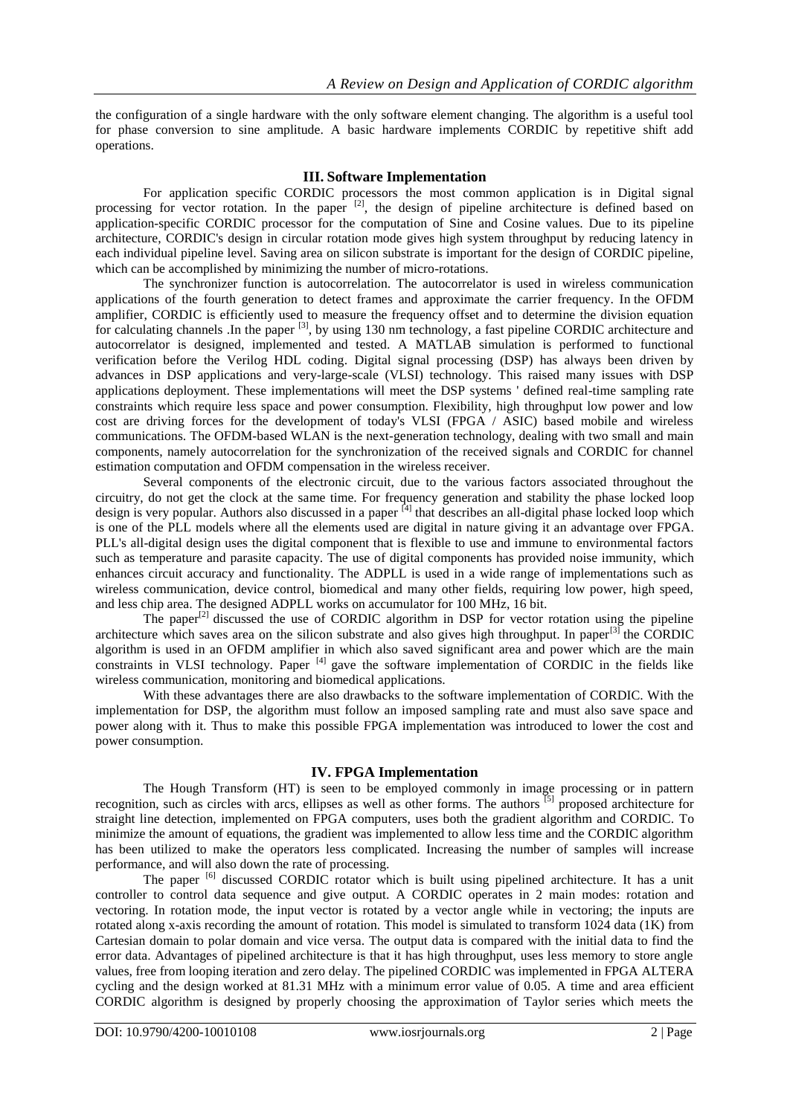the configuration of a single hardware with the only software element changing. The algorithm is a useful tool for phase conversion to sine amplitude. A basic hardware implements CORDIC by repetitive shift add operations.

#### **III. Software Implementation**

For application specific CORDIC processors the most common application is in Digital signal processing for vector rotation. In the paper <sup>[2]</sup>, the design of pipeline architecture is defined based on application-specific CORDIC processor for the computation of Sine and Cosine values. Due to its pipeline architecture, CORDIC's design in circular rotation mode gives high system throughput by reducing latency in each individual pipeline level. Saving area on silicon substrate is important for the design of CORDIC pipeline, which can be accomplished by minimizing the number of micro-rotations.

The synchronizer function is autocorrelation. The autocorrelator is used in wireless communication applications of the fourth generation to detect frames and approximate the carrier frequency. In the OFDM amplifier, CORDIC is efficiently used to measure the frequency offset and to determine the division equation for calculating channels .In the paper <sup>[3]</sup>, by using 130 nm technology, a fast pipeline CORDIC architecture and autocorrelator is designed, implemented and tested. A MATLAB simulation is performed to functional verification before the Verilog HDL coding. Digital signal processing (DSP) has always been driven by advances in DSP applications and very-large-scale (VLSI) technology. This raised many issues with DSP applications deployment. These implementations will meet the DSP systems ' defined real-time sampling rate constraints which require less space and power consumption. Flexibility, high throughput low power and low cost are driving forces for the development of today's VLSI (FPGA / ASIC) based mobile and wireless communications. The OFDM-based WLAN is the next-generation technology, dealing with two small and main components, namely autocorrelation for the synchronization of the received signals and CORDIC for channel estimation computation and OFDM compensation in the wireless receiver.

Several components of the electronic circuit, due to the various factors associated throughout the circuitry, do not get the clock at the same time. For frequency generation and stability the phase locked loop design is very popular. Authors also discussed in a paper <sup>[4]</sup> that describes an all-digital phase locked loop which is one of the PLL models where all the elements used are digital in nature giving it an advantage over FPGA. PLL's all-digital design uses the digital component that is flexible to use and immune to environmental factors such as temperature and parasite capacity. The use of digital components has provided noise immunity, which enhances circuit accuracy and functionality. The ADPLL is used in a wide range of implementations such as wireless communication, device control, biomedical and many other fields, requiring low power, high speed, and less chip area. The designed ADPLL works on accumulator for 100 MHz, 16 bit.

The paper<sup>[2]</sup> discussed the use of CORDIC algorithm in DSP for vector rotation using the pipeline architecture which saves area on the silicon substrate and also gives high throughput. In paper<sup>[3]</sup> the CORDIC algorithm is used in an OFDM amplifier in which also saved significant area and power which are the main constraints in VLSI technology. Paper  $[4]$  gave the software implementation of CORDIC in the fields like wireless communication, monitoring and biomedical applications.

With these advantages there are also drawbacks to the software implementation of CORDIC. With the implementation for DSP, the algorithm must follow an imposed sampling rate and must also save space and power along with it. Thus to make this possible FPGA implementation was introduced to lower the cost and power consumption.

#### **IV. FPGA Implementation**

The Hough Transform (HT) is seen to be employed commonly in image processing or in pattern recognition, such as circles with arcs, ellipses as well as other forms. The authors [5] proposed architecture for straight line detection, implemented on FPGA computers, uses both the gradient algorithm and CORDIC. To minimize the amount of equations, the gradient was implemented to allow less time and the CORDIC algorithm has been utilized to make the operators less complicated. Increasing the number of samples will increase performance, and will also down the rate of processing.

The paper <sup>[6]</sup> discussed CORDIC rotator which is built using pipelined architecture. It has a unit controller to control data sequence and give output. A CORDIC operates in 2 main modes: rotation and vectoring. In rotation mode, the input vector is rotated by a vector angle while in vectoring; the inputs are rotated along x-axis recording the amount of rotation. This model is simulated to transform 1024 data (1K) from Cartesian domain to polar domain and vice versa. The output data is compared with the initial data to find the error data. Advantages of pipelined architecture is that it has high throughput, uses less memory to store angle values, free from looping iteration and zero delay. The pipelined CORDIC was implemented in FPGA ALTERA cycling and the design worked at 81.31 MHz with a minimum error value of 0.05. A time and area efficient CORDIC algorithm is designed by properly choosing the approximation of Taylor series which meets the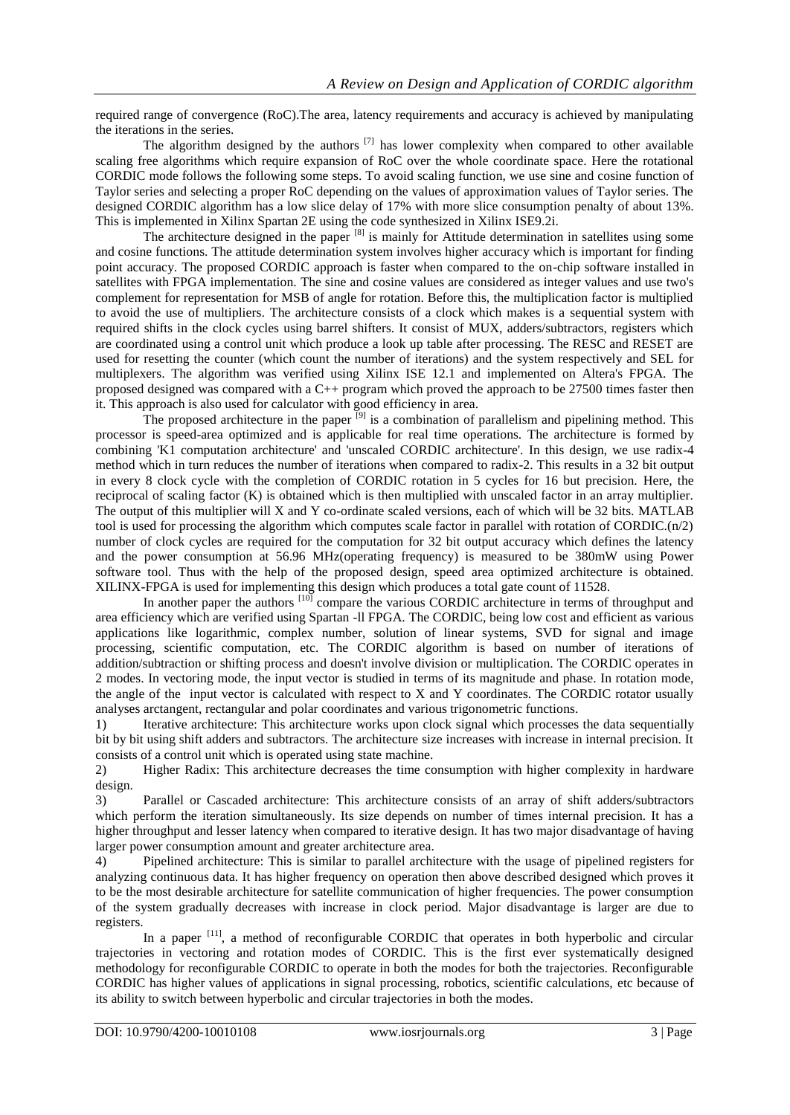required range of convergence (RoC).The area, latency requirements and accuracy is achieved by manipulating the iterations in the series.

The algorithm designed by the authors  $^{[7]}$  has lower complexity when compared to other available scaling free algorithms which require expansion of RoC over the whole coordinate space. Here the rotational CORDIC mode follows the following some steps. To avoid scaling function, we use sine and cosine function of Taylor series and selecting a proper RoC depending on the values of approximation values of Taylor series. The designed CORDIC algorithm has a low slice delay of 17% with more slice consumption penalty of about 13%. This is implemented in Xilinx Spartan 2E using the code synthesized in Xilinx ISE9.2i.

The architecture designed in the paper <sup>[8]</sup> is mainly for Attitude determination in satellites using some and cosine functions. The attitude determination system involves higher accuracy which is important for finding point accuracy. The proposed CORDIC approach is faster when compared to the on-chip software installed in satellites with FPGA implementation. The sine and cosine values are considered as integer values and use two's complement for representation for MSB of angle for rotation. Before this, the multiplication factor is multiplied to avoid the use of multipliers. The architecture consists of a clock which makes is a sequential system with required shifts in the clock cycles using barrel shifters. It consist of MUX, adders/subtractors, registers which are coordinated using a control unit which produce a look up table after processing. The RESC and RESET are used for resetting the counter (which count the number of iterations) and the system respectively and SEL for multiplexers. The algorithm was verified using Xilinx ISE 12.1 and implemented on Altera's FPGA. The proposed designed was compared with a C++ program which proved the approach to be 27500 times faster then it. This approach is also used for calculator with good efficiency in area.

The proposed architecture in the paper  $\bar{p}_{j}$  is a combination of parallelism and pipelining method. This processor is speed-area optimized and is applicable for real time operations. The architecture is formed by combining 'K1 computation architecture' and 'unscaled CORDIC architecture'. In this design, we use radix-4 method which in turn reduces the number of iterations when compared to radix-2. This results in a 32 bit output in every 8 clock cycle with the completion of CORDIC rotation in 5 cycles for 16 but precision. Here, the reciprocal of scaling factor (K) is obtained which is then multiplied with unscaled factor in an array multiplier. The output of this multiplier will X and Y co-ordinate scaled versions, each of which will be 32 bits. MATLAB tool is used for processing the algorithm which computes scale factor in parallel with rotation of CORDIC.(n/2) number of clock cycles are required for the computation for 32 bit output accuracy which defines the latency and the power consumption at 56.96 MHz(operating frequency) is measured to be 380mW using Power software tool. Thus with the help of the proposed design, speed area optimized architecture is obtained. XILINX-FPGA is used for implementing this design which produces a total gate count of 11528.

In another paper the authors<sup>[10]</sup> compare the various CORDIC architecture in terms of throughput and area efficiency which are verified using Spartan -ll FPGA. The CORDIC, being low cost and efficient as various applications like logarithmic, complex number, solution of linear systems, SVD for signal and image processing, scientific computation, etc. The CORDIC algorithm is based on number of iterations of addition/subtraction or shifting process and doesn't involve division or multiplication. The CORDIC operates in 2 modes. In vectoring mode, the input vector is studied in terms of its magnitude and phase. In rotation mode, the angle of the input vector is calculated with respect to X and Y coordinates. The CORDIC rotator usually analyses arctangent, rectangular and polar coordinates and various trigonometric functions.

1) Iterative architecture: This architecture works upon clock signal which processes the data sequentially bit by bit using shift adders and subtractors. The architecture size increases with increase in internal precision. It consists of a control unit which is operated using state machine.

2) Higher Radix: This architecture decreases the time consumption with higher complexity in hardware design.

3) Parallel or Cascaded architecture: This architecture consists of an array of shift adders/subtractors which perform the iteration simultaneously. Its size depends on number of times internal precision. It has a higher throughput and lesser latency when compared to iterative design. It has two major disadvantage of having larger power consumption amount and greater architecture area.

4) Pipelined architecture: This is similar to parallel architecture with the usage of pipelined registers for analyzing continuous data. It has higher frequency on operation then above described designed which proves it to be the most desirable architecture for satellite communication of higher frequencies. The power consumption of the system gradually decreases with increase in clock period. Major disadvantage is larger are due to registers.

In a paper  $[11]$ , a method of reconfigurable CORDIC that operates in both hyperbolic and circular trajectories in vectoring and rotation modes of CORDIC. This is the first ever systematically designed methodology for reconfigurable CORDIC to operate in both the modes for both the trajectories. Reconfigurable CORDIC has higher values of applications in signal processing, robotics, scientific calculations, etc because of its ability to switch between hyperbolic and circular trajectories in both the modes.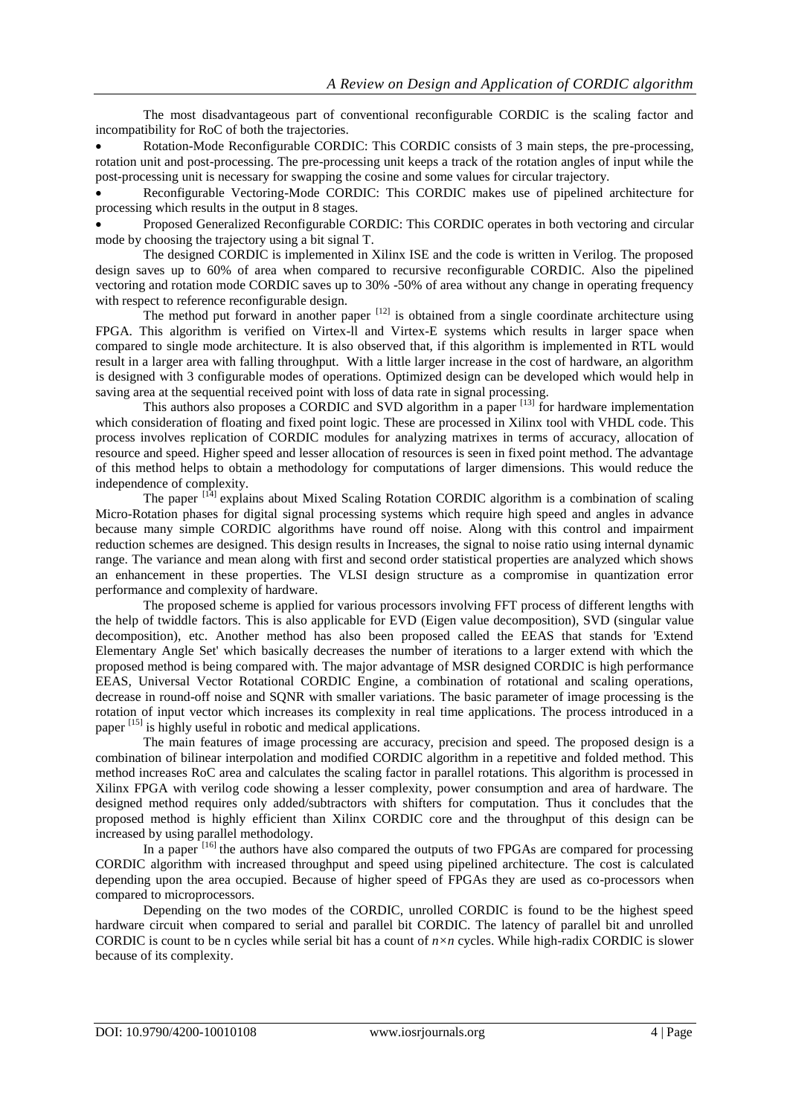The most disadvantageous part of conventional reconfigurable CORDIC is the scaling factor and incompatibility for RoC of both the trajectories.

 Rotation-Mode Reconfigurable CORDIC: This CORDIC consists of 3 main steps, the pre-processing, rotation unit and post-processing. The pre-processing unit keeps a track of the rotation angles of input while the post-processing unit is necessary for swapping the cosine and some values for circular trajectory.

 Reconfigurable Vectoring-Mode CORDIC: This CORDIC makes use of pipelined architecture for processing which results in the output in 8 stages.

 Proposed Generalized Reconfigurable CORDIC: This CORDIC operates in both vectoring and circular mode by choosing the trajectory using a bit signal T.

The designed CORDIC is implemented in Xilinx ISE and the code is written in Verilog. The proposed design saves up to 60% of area when compared to recursive reconfigurable CORDIC. Also the pipelined vectoring and rotation mode CORDIC saves up to 30% -50% of area without any change in operating frequency with respect to reference reconfigurable design.

The method put forward in another paper  $[12]$  is obtained from a single coordinate architecture using FPGA. This algorithm is verified on Virtex-ll and Virtex-E systems which results in larger space when compared to single mode architecture. It is also observed that, if this algorithm is implemented in RTL would result in a larger area with falling throughput. With a little larger increase in the cost of hardware, an algorithm is designed with 3 configurable modes of operations. Optimized design can be developed which would help in saving area at the sequential received point with loss of data rate in signal processing.

This authors also proposes a CORDIC and SVD algorithm in a paper  $[13]$  for hardware implementation which consideration of floating and fixed point logic. These are processed in Xilinx tool with VHDL code. This process involves replication of CORDIC modules for analyzing matrixes in terms of accuracy, allocation of resource and speed. Higher speed and lesser allocation of resources is seen in fixed point method. The advantage of this method helps to obtain a methodology for computations of larger dimensions. This would reduce the independence of complexity.

The paper <sup>[14]</sup> explains about Mixed Scaling Rotation CORDIC algorithm is a combination of scaling Micro-Rotation phases for digital signal processing systems which require high speed and angles in advance because many simple CORDIC algorithms have round off noise. Along with this control and impairment reduction schemes are designed. This design results in Increases, the signal to noise ratio using internal dynamic range. The variance and mean along with first and second order statistical properties are analyzed which shows an enhancement in these properties. The VLSI design structure as a compromise in quantization error performance and complexity of hardware.

The proposed scheme is applied for various processors involving FFT process of different lengths with the help of twiddle factors. This is also applicable for EVD (Eigen value decomposition), SVD (singular value decomposition), etc. Another method has also been proposed called the EEAS that stands for 'Extend Elementary Angle Set' which basically decreases the number of iterations to a larger extend with which the proposed method is being compared with. The major advantage of MSR designed CORDIC is high performance EEAS, Universal Vector Rotational CORDIC Engine, a combination of rotational and scaling operations, decrease in round-off noise and SQNR with smaller variations. The basic parameter of image processing is the rotation of input vector which increases its complexity in real time applications. The process introduced in a paper <sup>[15]</sup> is highly useful in robotic and medical applications.

The main features of image processing are accuracy, precision and speed. The proposed design is a combination of bilinear interpolation and modified CORDIC algorithm in a repetitive and folded method. This method increases RoC area and calculates the scaling factor in parallel rotations. This algorithm is processed in Xilinx FPGA with verilog code showing a lesser complexity, power consumption and area of hardware. The designed method requires only added/subtractors with shifters for computation. Thus it concludes that the proposed method is highly efficient than Xilinx CORDIC core and the throughput of this design can be increased by using parallel methodology.

In a paper <sup>[16]</sup> the authors have also compared the outputs of two FPGAs are compared for processing CORDIC algorithm with increased throughput and speed using pipelined architecture. The cost is calculated depending upon the area occupied. Because of higher speed of FPGAs they are used as co-processors when compared to microprocessors.

Depending on the two modes of the CORDIC, unrolled CORDIC is found to be the highest speed hardware circuit when compared to serial and parallel bit CORDIC. The latency of parallel bit and unrolled CORDIC is count to be n cycles while serial bit has a count of *n×n* cycles. While high-radix CORDIC is slower because of its complexity.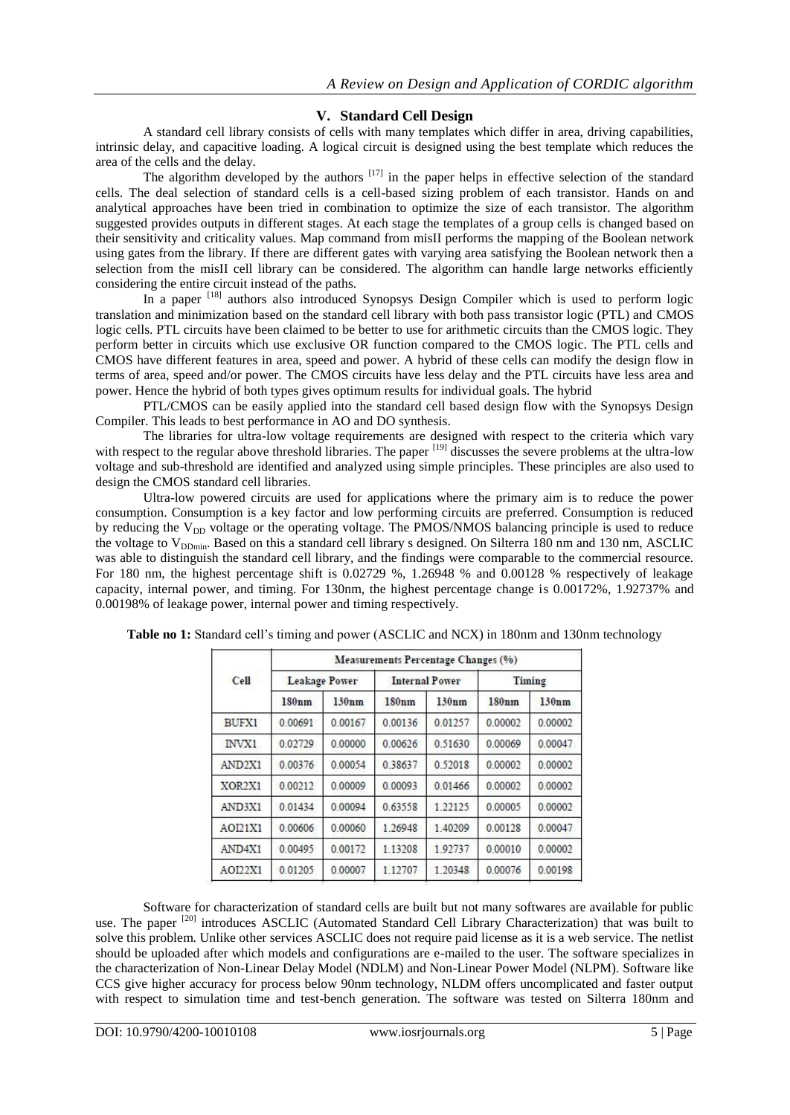### **V. Standard Cell Design**

A standard cell library consists of cells with many templates which differ in area, driving capabilities, intrinsic delay, and capacitive loading. A logical circuit is designed using the best template which reduces the area of the cells and the delay.

The algorithm developed by the authors  $[17]$  in the paper helps in effective selection of the standard cells. The deal selection of standard cells is a cell-based sizing problem of each transistor. Hands on and analytical approaches have been tried in combination to optimize the size of each transistor. The algorithm suggested provides outputs in different stages. At each stage the templates of a group cells is changed based on their sensitivity and criticality values. Map command from misII performs the mapping of the Boolean network using gates from the library. If there are different gates with varying area satisfying the Boolean network then a selection from the misII cell library can be considered. The algorithm can handle large networks efficiently considering the entire circuit instead of the paths.

In a paper [18] authors also introduced Synopsys Design Compiler which is used to perform logic translation and minimization based on the standard cell library with both pass transistor logic (PTL) and CMOS logic cells. PTL circuits have been claimed to be better to use for arithmetic circuits than the CMOS logic. They perform better in circuits which use exclusive OR function compared to the CMOS logic. The PTL cells and CMOS have different features in area, speed and power. A hybrid of these cells can modify the design flow in terms of area, speed and/or power. The CMOS circuits have less delay and the PTL circuits have less area and power. Hence the hybrid of both types gives optimum results for individual goals. The hybrid

PTL/CMOS can be easily applied into the standard cell based design flow with the Synopsys Design Compiler. This leads to best performance in AO and DO synthesis.

The libraries for ultra-low voltage requirements are designed with respect to the criteria which vary with respect to the regular above threshold libraries. The paper <sup>[19]</sup> discusses the severe problems at the ultra-low voltage and sub-threshold are identified and analyzed using simple principles. These principles are also used to design the CMOS standard cell libraries.

Ultra-low powered circuits are used for applications where the primary aim is to reduce the power consumption. Consumption is a key factor and low performing circuits are preferred. Consumption is reduced by reducing the  $V_{DD}$  voltage or the operating voltage. The PMOS/NMOS balancing principle is used to reduce the voltage to  $V_{\text{DDmin}}$ . Based on this a standard cell library s designed. On Silterra 180 nm and 130 nm, ASCLIC was able to distinguish the standard cell library, and the findings were comparable to the commercial resource. For 180 nm, the highest percentage shift is 0.02729 %, 1.26948 % and 0.00128 % respectively of leakage capacity, internal power, and timing. For 130nm, the highest percentage change is 0.00172%, 1.92737% and 0.00198% of leakage power, internal power and timing respectively.

| Cell    | Measurements Percentage Changes (%) |         |                       |         |         |         |  |
|---------|-------------------------------------|---------|-----------------------|---------|---------|---------|--|
|         | Leakage Power                       |         | <b>Internal Power</b> |         | Timing  |         |  |
|         | 180nm                               | 130nm   | 180nm                 | 130nm   | 180nm   | 130nm   |  |
| BUFX1   | 0.00691                             | 0.00167 | 0.00136               | 0.01257 | 0.00002 | 0.00002 |  |
| INVX1   | 0.02729                             | 0.00000 | 0.00626               | 0.51630 | 0.00069 | 0.00047 |  |
| AND2X1  | 0.00376                             | 0.00054 | 0.38637               | 0.52018 | 0.00002 | 0.00002 |  |
| XOR2X1  | 0.00212                             | 0.00009 | 0.00093               | 0.01466 | 0.00002 | 0.00002 |  |
| AND3X1  | 0.01434                             | 0.00094 | 0.63558               | 1.22125 | 0.00005 | 0.00002 |  |
| AOD1X1  | 0.00606                             | 0.00060 | 1.26948               | 1.40209 | 0.00128 | 0.00047 |  |
| AND4X1  | 0.00495                             | 0.00172 | 1.13208               | 1.92737 | 0.00010 | 0.00002 |  |
| AOI22X1 | 0.01205                             | 0.00007 | 1.12707               | 1.20348 | 0.00076 | 0.00198 |  |

**Table no 1:** Standard cell's timing and power (ASCLIC and NCX) in 180nm and 130nm technology

Software for characterization of standard cells are built but not many softwares are available for public use. The paper <sup>[20]</sup> introduces ASCLIC (Automated Standard Cell Library Characterization) that was built to solve this problem. Unlike other services ASCLIC does not require paid license as it is a web service. The netlist should be uploaded after which models and configurations are e-mailed to the user. The software specializes in the characterization of Non-Linear Delay Model (NDLM) and Non-Linear Power Model (NLPM). Software like CCS give higher accuracy for process below 90nm technology, NLDM offers uncomplicated and faster output with respect to simulation time and test-bench generation. The software was tested on Silterra 180nm and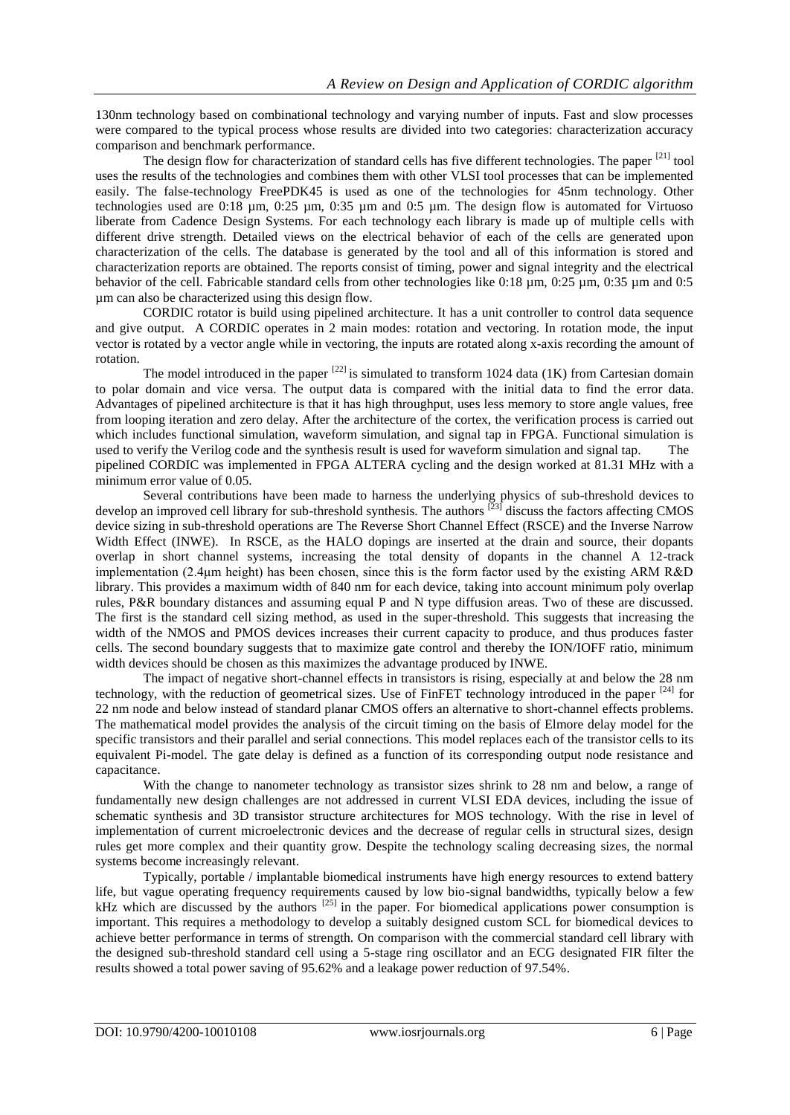130nm technology based on combinational technology and varying number of inputs. Fast and slow processes were compared to the typical process whose results are divided into two categories: characterization accuracy comparison and benchmark performance.

The design flow for characterization of standard cells has five different technologies. The paper  $[21]$  tool uses the results of the technologies and combines them with other VLSI tool processes that can be implemented easily. The false-technology FreePDK45 is used as one of the technologies for 45nm technology. Other technologies used are 0:18 µm, 0:25 µm, 0:35 µm and 0:5 µm. The design flow is automated for Virtuoso liberate from Cadence Design Systems. For each technology each library is made up of multiple cells with different drive strength. Detailed views on the electrical behavior of each of the cells are generated upon characterization of the cells. The database is generated by the tool and all of this information is stored and characterization reports are obtained. The reports consist of timing, power and signal integrity and the electrical behavior of the cell. Fabricable standard cells from other technologies like 0:18 µm, 0:25 µm, 0:35 µm and 0:5 µm can also be characterized using this design flow.

CORDIC rotator is build using pipelined architecture. It has a unit controller to control data sequence and give output. A CORDIC operates in 2 main modes: rotation and vectoring. In rotation mode, the input vector is rotated by a vector angle while in vectoring, the inputs are rotated along x-axis recording the amount of rotation.

The model introduced in the paper  $[22]$  is simulated to transform 1024 data (1K) from Cartesian domain to polar domain and vice versa. The output data is compared with the initial data to find the error data. Advantages of pipelined architecture is that it has high throughput, uses less memory to store angle values, free from looping iteration and zero delay. After the architecture of the cortex, the verification process is carried out which includes functional simulation, waveform simulation, and signal tap in FPGA. Functional simulation is used to verify the Verilog code and the synthesis result is used for waveform simulation and signal tap. The pipelined CORDIC was implemented in FPGA ALTERA cycling and the design worked at 81.31 MHz with a minimum error value of 0.05.

Several contributions have been made to harness the underlying physics of sub-threshold devices to develop an improved cell library for sub-threshold synthesis. The authors <sup>[23]</sup> discuss the factors affecting CMOS device sizing in sub-threshold operations are The Reverse Short Channel Effect (RSCE) and the Inverse Narrow Width Effect (INWE). In RSCE, as the HALO dopings are inserted at the drain and source, their dopants overlap in short channel systems, increasing the total density of dopants in the channel A 12-track implementation (2.4μm height) has been chosen, since this is the form factor used by the existing ARM R&D library. This provides a maximum width of 840 nm for each device, taking into account minimum poly overlap rules, P&R boundary distances and assuming equal P and N type diffusion areas. Two of these are discussed. The first is the standard cell sizing method, as used in the super-threshold. This suggests that increasing the width of the NMOS and PMOS devices increases their current capacity to produce, and thus produces faster cells. The second boundary suggests that to maximize gate control and thereby the ION/IOFF ratio, minimum width devices should be chosen as this maximizes the advantage produced by INWE.

The impact of negative short-channel effects in transistors is rising, especially at and below the 28 nm technology, with the reduction of geometrical sizes. Use of FinFET technology introduced in the paper [24] for 22 nm node and below instead of standard planar CMOS offers an alternative to short-channel effects problems. The mathematical model provides the analysis of the circuit timing on the basis of Elmore delay model for the specific transistors and their parallel and serial connections. This model replaces each of the transistor cells to its equivalent Pi-model. The gate delay is defined as a function of its corresponding output node resistance and capacitance.

With the change to nanometer technology as transistor sizes shrink to 28 nm and below, a range of fundamentally new design challenges are not addressed in current VLSI EDA devices, including the issue of schematic synthesis and 3D transistor structure architectures for MOS technology. With the rise in level of implementation of current microelectronic devices and the decrease of regular cells in structural sizes, design rules get more complex and their quantity grow. Despite the technology scaling decreasing sizes, the normal systems become increasingly relevant.

Typically, portable / implantable biomedical instruments have high energy resources to extend battery life, but vague operating frequency requirements caused by low bio-signal bandwidths, typically below a few kHz which are discussed by the authors  $^{[25]}$  in the paper. For biomedical applications power consumption is important. This requires a methodology to develop a suitably designed custom SCL for biomedical devices to achieve better performance in terms of strength. On comparison with the commercial standard cell library with the designed sub-threshold standard cell using a 5-stage ring oscillator and an ECG designated FIR filter the results showed a total power saving of 95.62% and a leakage power reduction of 97.54%.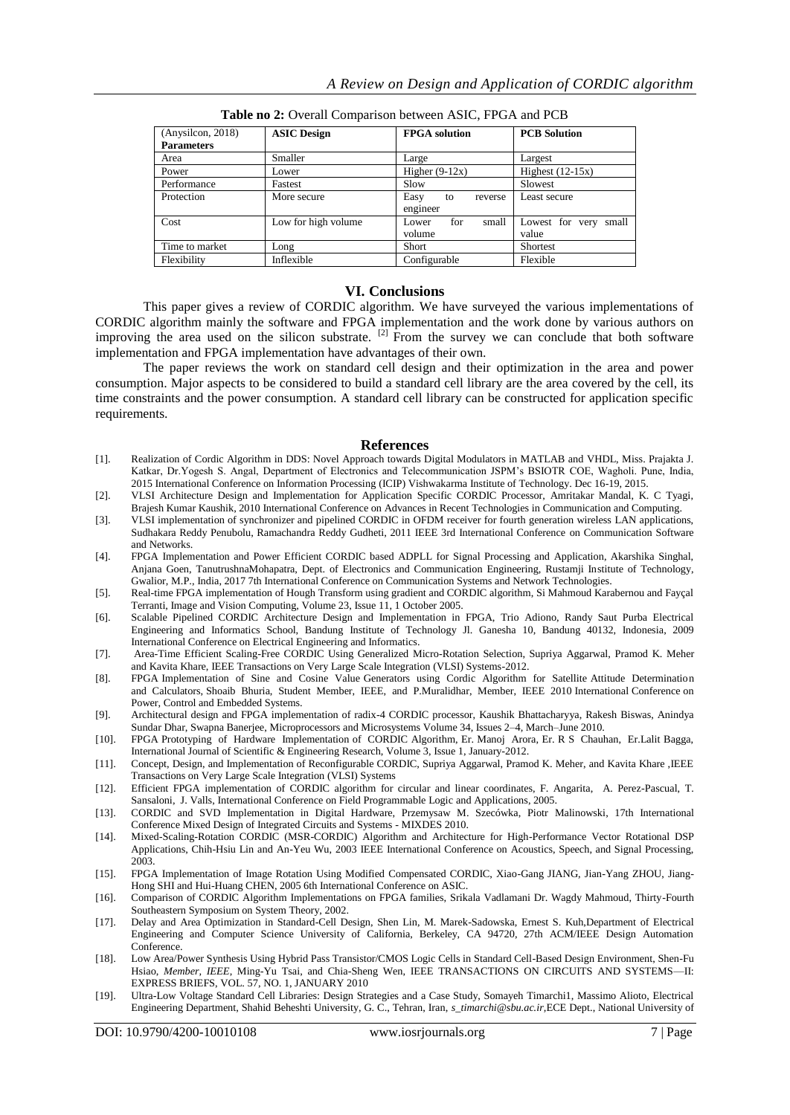| (Any silicon, 2018) | <b>ASIC Design</b>  | <b>FPGA</b> solution  | <b>PCB</b> Solution   |  |
|---------------------|---------------------|-----------------------|-----------------------|--|
| <b>Parameters</b>   |                     |                       |                       |  |
| Area                | Smaller             | Large                 | Largest               |  |
| Power               | Lower               | Higher $(9-12x)$      | Highest $(12-15x)$    |  |
| Performance         | Fastest             | Slow                  | Slowest               |  |
| Protection          | More secure         | Easy<br>reverse<br>to | Least secure          |  |
|                     |                     | engineer              |                       |  |
| Cost                | Low for high volume | for<br>small<br>Lower | Lowest for very small |  |
|                     |                     | volume                | value                 |  |
| Time to market      | Long                | Short                 | <b>Shortest</b>       |  |
| Flexibility         | Inflexible          | Configurable          | Flexible              |  |

**Table no 2:** Overall Comparison between ASIC, FPGA and PCB

#### **VI. Conclusions**

This paper gives a review of CORDIC algorithm. We have surveyed the various implementations of CORDIC algorithm mainly the software and FPGA implementation and the work done by various authors on improving the area used on the silicon substrate.  $^{[2]}$  From the survey we can conclude that both software implementation and FPGA implementation have advantages of their own.

The paper reviews the work on standard cell design and their optimization in the area and power consumption. Major aspects to be considered to build a standard cell library are the area covered by the cell, its time constraints and the power consumption. A standard cell library can be constructed for application specific requirements.

#### **References**

- [1]. Realization of Cordic Algorithm in DDS: Novel Approach towards Digital Modulators in MATLAB and VHDL, Miss. Prajakta J. Katkar, Dr.Yogesh S. Angal, Department of Electronics and Telecommunication JSPM's BSIOTR COE, Wagholi. Pune, India, 2015 International Conference on Information Processing (ICIP) Vishwakarma Institute of Technology. Dec 16-19, 2015.
- [2]. VLSI Architecture Design and Implementation for Application Specific CORDIC Processor, Amritakar Mandal, K. C Tyagi, Brajesh Kumar Kaushik, 2010 International Conference on Advances in Recent Technologies in Communication and Computing.
- [3]. VLSI implementation of synchronizer and pipelined CORDIC in OFDM receiver for fourth generation wireless LAN applications, Sudhakara Reddy Penubolu, Ramachandra Reddy Gudheti, 2011 IEEE 3rd International Conference on Communication Software and Networks.
- [4]. FPGA Implementation and Power Efficient CORDIC based ADPLL for Signal Processing and Application, Akarshika Singhal, Anjana Goen, TanutrushnaMohapatra, Dept. of Electronics and Communication Engineering, Rustamji Institute of Technology, Gwalior, M.P., India, 2017 7th International Conference on Communication Systems and Network Technologies.
- [5]. Real-time FPGA implementation of Hough Transform using gradient and CORDIC algorithm, Si Mahmoud Karabernou and Fayçal Terranti, Image and Vision Computing, Volume 23, Issue 11, 1 October 2005.
- [6]. Scalable Pipelined CORDIC Architecture Design and Implementation in FPGA, Trio Adiono, Randy Saut Purba Electrical Engineering and Informatics School, Bandung Institute of Technology Jl. Ganesha 10, Bandung 40132, Indonesia, 2009 International Conference on Electrical Engineering and Informatics.
- [7]. Area-Time Efficient Scaling-Free CORDIC Using Generalized Micro-Rotation Selection, Supriya Aggarwal, Pramod K. Meher and Kavita Khare, IEEE Transactions on Very Large Scale Integration (VLSI) Systems-2012.
- [8]. FPGA Implementation of Sine and Cosine Value Generators using Cordic Algorithm for Satellite Attitude Determination and Calculators, Shoaib Bhuria, Student Member, IEEE, and P.Muralidhar, Member, IEEE 2010 International Conference on Power, Control and Embedded Systems.
- [9]. Architectural design and FPGA implementation of radix-4 CORDIC processor, Kaushik Bhattacharyya, Rakesh Biswas, Anindya Sundar Dhar, Swapna Banerjee[, Microprocessors and Microsystems](https://www.sciencedirect.com/science/journal/01419331) [Volume 34, Issues 2–4,](https://www.sciencedirect.com/science/journal/01419331/34/2) March–June 2010.
- [10]. FPGA Prototyping of Hardware Implementation of CORDIC Algorithm, Er. Manoj Arora, Er. R S Chauhan, Er.Lalit Bagga, International Journal of Scientific & Engineering Research, Volume 3, Issue 1, January-2012.
- [11]. Concept, Design, and Implementation of Reconfigurable CORDIC, Supriya Aggarwal, Pramod K. Meher, and Kavita Khare ,IEEE Transactions on Very Large Scale Integration (VLSI) Systems
- [12]. Efficient FPGA implementation of CORDIC algorithm for circular and linear coordinates, F. Angarita, A. Perez-Pascual, T. Sansaloni, J. Valls, International Conference on Field Programmable Logic and Applications, 2005.
- [13]. CORDIC and SVD Implementation in Digital Hardware, Przemysaw M. Szecówka, Piotr Malinowski, 17th International Conference Mixed Design of Integrated Circuits and Systems - MIXDES 2010.
- [14]. Mixed-Scaling-Rotation CORDIC (MSR-CORDIC) Algorithm and Architecture for High-Performance Vector Rotational DSP Applications, Chih-Hsiu Lin and An-Yeu Wu, 2003 IEEE International Conference on Acoustics, Speech, and Signal Processing, 2003.
- [15]. FPGA Implementation of Image Rotation Using Modified Compensated CORDIC, Xiao-Gang JIANG, Jian-Yang ZHOU, Jiang-Hong SHI and Hui-Huang CHEN, 2005 6th International Conference on ASIC.
- [16]. Comparison of CORDIC Algorithm Implementations on FPGA families, Srikala Vadlamani Dr. Wagdy Mahmoud, Thirty-Fourth Southeastern Symposium on System Theory, 2002.
- [17]. Delay and Area Optimization in Standard-Cell Design, Shen Lin, M. Marek-Sadowska, Ernest S. Kuh,Department of Electrical Engineering and Computer Science University of California, Berkeley, CA 94720, 27th ACM/IEEE Design Automation Conference.
- [18]. Low Area/Power Synthesis Using Hybrid Pass Transistor/CMOS Logic Cells in Standard Cell-Based Design Environment, Shen-Fu Hsiao, *Member, IEEE*, Ming-Yu Tsai, and Chia-Sheng Wen, IEEE TRANSACTIONS ON CIRCUITS AND SYSTEMS—II: EXPRESS BRIEFS, VOL. 57, NO. 1, JANUARY 2010
- [19]. Ultra-Low Voltage Standard Cell Libraries: Design Strategies and a Case Study, Somayeh Timarchi1, Massimo Alioto, Electrical Engineering Department, Shahid Beheshti University, G. C., Tehran, Iran, *s\_timarchi@sbu.ac.ir,*ECE Dept., National University of